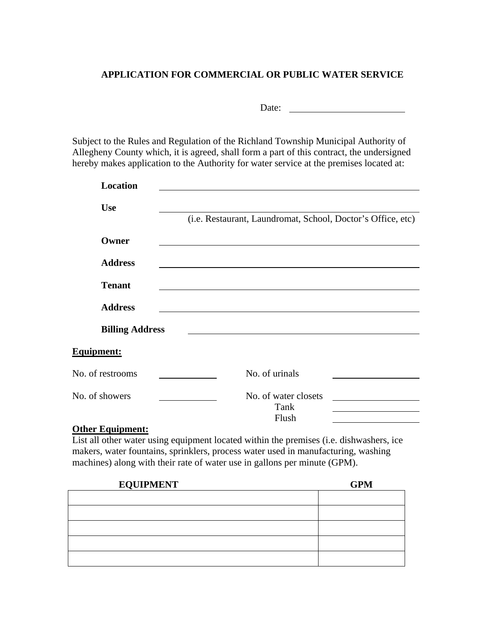## **APPLICATION FOR COMMERCIAL OR PUBLIC WATER SERVICE**

Date:

Subject to the Rules and Regulation of the Richland Township Municipal Authority of Allegheny County which, it is agreed, shall form a part of this contract, the undersigned hereby makes application to the Authority for water service at the premises located at:

| <b>Location</b>        |                                                             |
|------------------------|-------------------------------------------------------------|
| <b>Use</b>             |                                                             |
|                        | (i.e. Restaurant, Laundromat, School, Doctor's Office, etc) |
| Owner                  |                                                             |
| <b>Address</b>         |                                                             |
| <b>Tenant</b>          |                                                             |
| <b>Address</b>         |                                                             |
| <b>Billing Address</b> |                                                             |
| <b>Equipment:</b>      |                                                             |
| No. of restrooms       | No. of urinals                                              |
| No. of showers         | No. of water closets                                        |
|                        | Tank                                                        |
|                        | Flush                                                       |

## **Other Equipment:**

List all other water using equipment located within the premises (i.e. dishwashers, ice makers, water fountains, sprinklers, process water used in manufacturing, washing machines) along with their rate of water use in gallons per minute (GPM).

| <b>EQUIPMENT</b> | <b>GPM</b> |
|------------------|------------|
|                  |            |
|                  |            |
|                  |            |
|                  |            |
|                  |            |